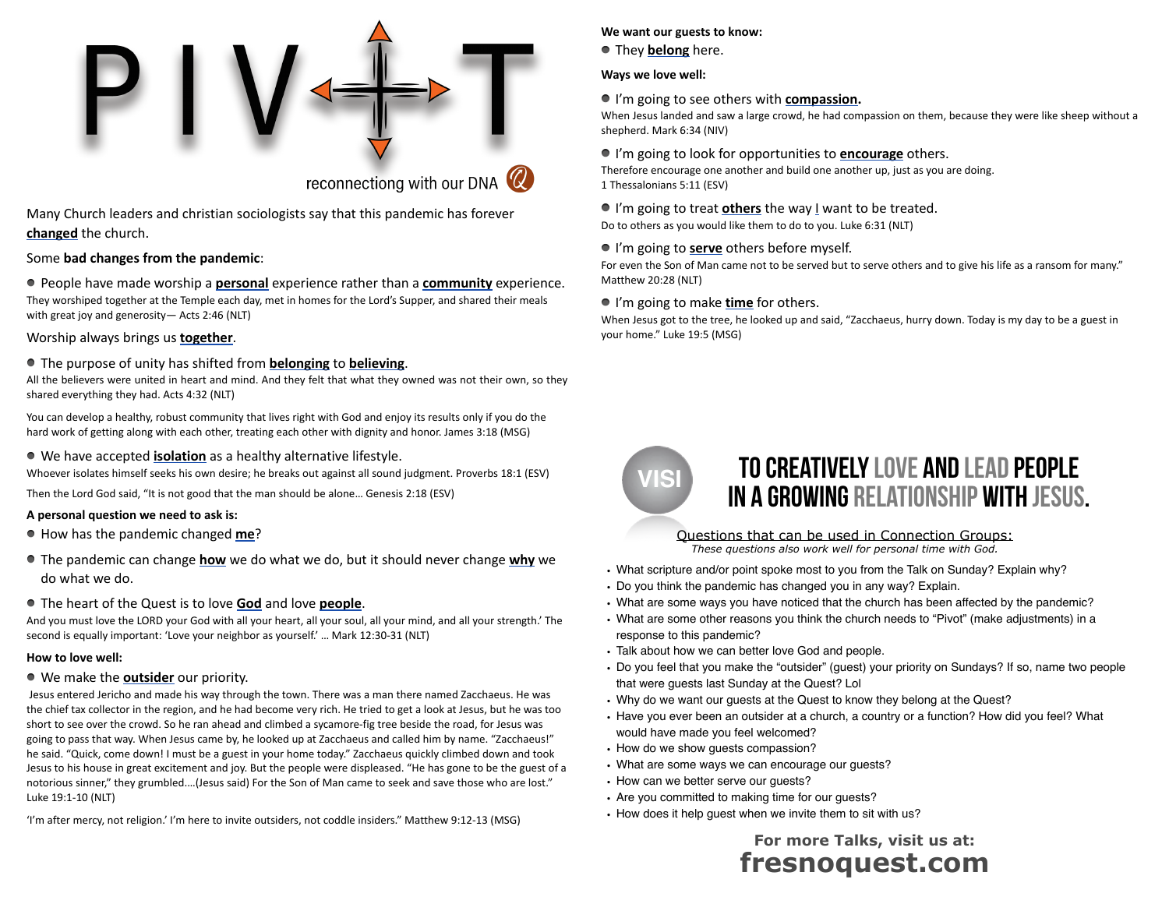

## reconnectiong with our DNA  $\mathbb Q$

Many Church leaders and christian sociologists say that this pandemic has forever **changed** the church.

#### Some **bad changes from the pandemic**:

People have made worship a **personal** experience rather than a **community** experience. They worshiped together at the Temple each day, met in homes for the Lord's Supper, and shared their meals with great joy and generosity— Acts 2:46 (NLT)

#### Worship always brings us **together**.

#### The purpose of unity has shifted from **belonging** to **believing**.

All the believers were united in heart and mind. And they felt that what they owned was not their own, so they shared everything they had. Acts 4:32 (NLT)

You can develop a healthy, robust community that lives right with God and enjoy its results only if you do the hard work of getting along with each other, treating each other with dignity and honor. James 3:18 (MSG)

#### We have accepted **isolation** as a healthy alternative lifestyle.

Whoever isolates himself seeks his own desire; he breaks out against all sound judgment. Proverbs 18:1 (ESV)

Then the Lord God said, "It is not good that the man should be alone… Genesis 2:18 (ESV)

#### **A personal question we need to ask is:**

- How has the pandemic changed **me**?
- The pandemic can change **how** we do what we do, but it should never change **why** we do what we do.

#### The heart of the Quest is to love **God** and love **people**.

And you must love the LORD your God with all your heart, all your soul, all your mind, and all your strength.' The second is equally important: 'Love your neighbor as yourself.' … Mark 12:30-31 (NLT)

#### **How to love well:**

#### We make the **outsider** our priority.

 Jesus entered Jericho and made his way through the town. There was a man there named Zacchaeus. He was the chief tax collector in the region, and he had become very rich. He tried to get a look at Jesus, but he was too short to see over the crowd. So he ran ahead and climbed a sycamore-fig tree beside the road, for Jesus was going to pass that way. When Jesus came by, he looked up at Zacchaeus and called him by name. "Zacchaeus!" he said. "Quick, come down! I must be a guest in your home today." Zacchaeus quickly climbed down and took Jesus to his house in great excitement and joy. But the people were displeased. "He has gone to be the guest of a notorious sinner," they grumbled.…(Jesus said) For the Son of Man came to seek and save those who are lost." Luke 19:1-10 (NLT)

'I'm after mercy, not religion.' I'm here to invite outsiders, not coddle insiders." Matthew 9:12-13 (MSG)

#### **We want our guests to know:**

They **belong** here.

#### **Ways we love well:**

#### I'm going to see others with **compassion.**

When Jesus landed and saw a large crowd, he had compassion on them, because they were like sheep without a shepherd. Mark 6:34 (NIV)

#### I'm going to look for opportunities to **encourage** others.

Therefore encourage one another and build one another up, just as you are doing. 1 Thessalonians 5:11 (ESV)

#### I'm going to treat **others** the way I want to be treated.

Do to others as you would like them to do to you. Luke 6:31 (NLT)

#### I'm going to **serve** others before myself.

For even the Son of Man came not to be served but to serve others and to give his life as a ransom for many." Matthew 20:28 (NLT)

#### ■ I'm going to make **time** for others.

When Jesus got to the tree, he looked up and said, "Zacchaeus, hurry down. Today is my day to be a guest in your home." Luke 19:5 (MSG)



## TO CREATIVELY LOVE AND LEAD PEOPLE in a growing relationship with Jesus.

#### Questions that can be used in Connection Groups:

*These questions also work well for personal time with God.*

- What scripture and/or point spoke most to you from the Talk on Sunday? Explain why?
- Do you think the pandemic has changed you in any way? Explain.
- What are some ways you have noticed that the church has been affected by the pandemic?
- What are some other reasons you think the church needs to "Pivot" (make adjustments) in a response to this pandemic?
- Talk about how we can better love God and people.
- Do you feel that you make the "outsider" (guest) your priority on Sundays? If so, name two people that were guests last Sunday at the Quest? Lol
- Why do we want our guests at the Quest to know they belong at the Quest?
- Have you ever been an outsider at a church, a country or a function? How did you feel? What would have made you feel welcomed?
- How do we show guests compassion?
- What are some ways we can encourage our guests?
- How can we better serve our guests?
- Are you committed to making time for our guests?
- How does it help guest when we invite them to sit with us?

### **For more Talks, visit us at: fresnoquest.com**